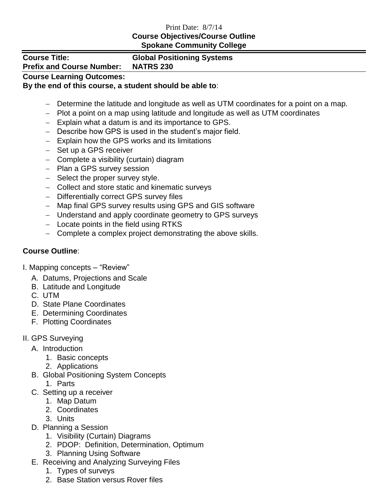#### Print Date: 8/7/14 **Course Objectives/Course Outline Spokane Community College**

**Prefix and Course Number: NATRS 230**

# **Course Title: Global Positioning Systems**

### **Course Learning Outcomes:**

#### **By the end of this course, a student should be able to**:

- Determine the latitude and longitude as well as UTM coordinates for a point on a map.
- Plot a point on a map using latitude and longitude as well as UTM coordinates
- Explain what a datum is and its importance to GPS.
- Describe how GPS is used in the student's major field.
- Explain how the GPS works and its limitations
- Set up a GPS receiver
- Complete a visibility (curtain) diagram
- Plan a GPS survey session
- Select the proper survey style.
- Collect and store static and kinematic surveys
- Differentially correct GPS survey files
- Map final GPS survey results using GPS and GIS software
- Understand and apply coordinate geometry to GPS surveys
- $-$  Locate points in the field using RTKS
- Complete a complex project demonstrating the above skills.

## **Course Outline**:

I. Mapping concepts – "Review"

- A. Datums, Projections and Scale
- B. Latitude and Longitude
- C. UTM
- D. State Plane Coordinates
- E. Determining Coordinates
- F. Plotting Coordinates
- II. GPS Surveying
	- A. Introduction
		- 1. Basic concepts
		- 2. Applications
	- B. Global Positioning System Concepts
		- 1. Parts
	- C. Setting up a receiver
		- 1. Map Datum
		- 2. Coordinates
		- 3. Units
	- D. Planning a Session
		- 1. Visibility (Curtain) Diagrams
		- 2. PDOP: Definition, Determination, Optimum
		- 3. Planning Using Software
	- E. Receiving and Analyzing Surveying Files
		- 1. Types of surveys
		- 2. Base Station versus Rover files